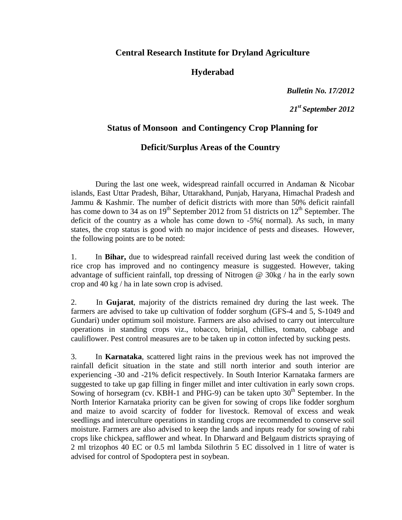## **Central Research Institute for Dryland Agriculture**

## **Hyderabad**

*Bulletin No. 17/2012*

*21st September 2012*

## **Status of Monsoon and Contingency Crop Planning for**

## **Deficit/Surplus Areas of the Country**

 During the last one week, widespread rainfall occurred in Andaman & Nicobar islands, East Uttar Pradesh, Bihar, Uttarakhand, Punjab, Haryana, Himachal Pradesh and Jammu & Kashmir. The number of deficit districts with more than 50% deficit rainfall has come down to 34 as on  $19<sup>th</sup>$  September 2012 from 51 districts on  $12<sup>th</sup>$  September. The deficit of the country as a whole has come down to -5%( normal). As such, in many states, the crop status is good with no major incidence of pests and diseases. However, the following points are to be noted:

1. In **Bihar,** due to widespread rainfall received during last week the condition of rice crop has improved and no contingency measure is suggested. However, taking advantage of sufficient rainfall, top dressing of Nitrogen @ 30kg / ha in the early sown crop and 40 kg / ha in late sown crop is advised.

2. In **Gujarat**, majority of the districts remained dry during the last week. The farmers are advised to take up cultivation of fodder sorghum (GFS-4 and 5, S-1049 and Gundari) under optimum soil moisture. Farmers are also advised to carry out interculture operations in standing crops viz., tobacco, brinjal, chillies, tomato, cabbage and cauliflower. Pest control measures are to be taken up in cotton infected by sucking pests.

3. In **Karnataka**, scattered light rains in the previous week has not improved the rainfall deficit situation in the state and still north interior and south interior are experiencing -30 and -21% deficit respectively. In South Interior Karnataka farmers are suggested to take up gap filling in finger millet and inter cultivation in early sown crops. Sowing of horsegram (cv. KBH-1 and PHG-9) can be taken upto  $30<sup>th</sup>$  September. In the North Interior Karnataka priority can be given for sowing of crops like fodder sorghum and maize to avoid scarcity of fodder for livestock. Removal of excess and weak seedlings and interculture operations in standing crops are recommended to conserve soil moisture. Farmers are also advised to keep the lands and inputs ready for sowing of rabi crops like chickpea, safflower and wheat. In Dharward and Belgaum districts spraying of 2 ml trizophos 40 EC or 0.5 ml lambda Silothrin 5 EC dissolved in 1 litre of water is advised for control of Spodoptera pest in soybean.